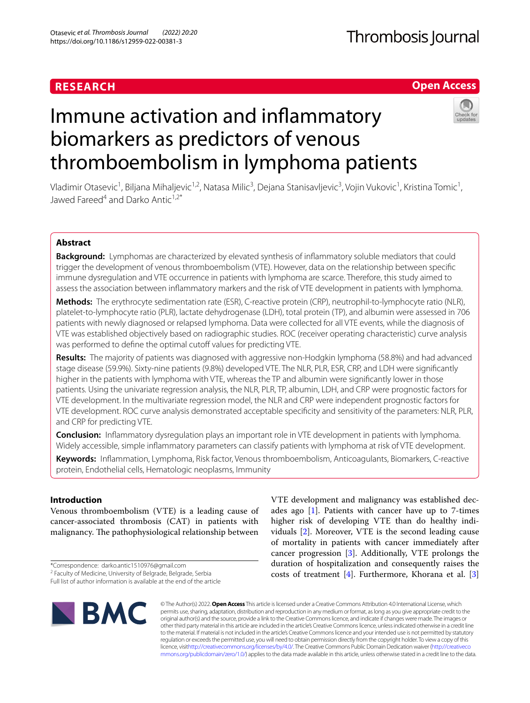# **RESEARCH**

# **Open Access**

# Immune activation and infammatory biomarkers as predictors of venous thromboembolism in lymphoma patients



Vladimir Otasevic<sup>1</sup>, Biljana Mihaljevic<sup>1,2</sup>, Natasa Milic<sup>3</sup>, Dejana Stanisavljevic<sup>3</sup>, Vojin Vukovic<sup>1</sup>, Kristina Tomic<sup>1</sup>, Jawed Fareed<sup>4</sup> and Darko Antic<sup>1,2\*</sup>

# **Abstract**

**Background:** Lymphomas are characterized by elevated synthesis of infammatory soluble mediators that could trigger the development of venous thromboembolism (VTE). However, data on the relationship between specifc immune dysregulation and VTE occurrence in patients with lymphoma are scarce. Therefore, this study aimed to assess the association between infammatory markers and the risk of VTE development in patients with lymphoma.

**Methods:** The erythrocyte sedimentation rate (ESR), C-reactive protein (CRP), neutrophil-to-lymphocyte ratio (NLR), platelet-to-lymphocyte ratio (PLR), lactate dehydrogenase (LDH), total protein (TP), and albumin were assessed in 706 patients with newly diagnosed or relapsed lymphoma. Data were collected for all VTE events, while the diagnosis of VTE was established objectively based on radiographic studies. ROC (receiver operating characteristic) curve analysis was performed to define the optimal cutoff values for predicting VTE.

**Results:** The majority of patients was diagnosed with aggressive non-Hodgkin lymphoma (58.8%) and had advanced stage disease (59.9%). Sixty-nine patients (9.8%) developed VTE. The NLR, PLR, ESR, CRP, and LDH were signifcantly higher in the patients with lymphoma with VTE, whereas the TP and albumin were signifcantly lower in those patients. Using the univariate regression analysis, the NLR, PLR, TP, albumin, LDH, and CRP were prognostic factors for VTE development. In the multivariate regression model, the NLR and CRP were independent prognostic factors for VTE development. ROC curve analysis demonstrated acceptable specifcity and sensitivity of the parameters: NLR, PLR, and CRP for predicting VTE.

**Conclusion:** Infammatory dysregulation plays an important role in VTE development in patients with lymphoma. Widely accessible, simple infammatory parameters can classify patients with lymphoma at risk of VTE development.

**Keywords:** Infammation, Lymphoma, Risk factor, Venous thromboembolism, Anticoagulants, Biomarkers, C-reactive protein, Endothelial cells, Hematologic neoplasms, Immunity

# **Introduction**

Venous thromboembolism (VTE) is a leading cause of cancer-associated thrombosis (CAT) in patients with malignancy. The pathophysiological relationship between

\*Correspondence: darko.antic1510976@gmail.com

Full list of author information is available at the end of the article



VTE development and malignancy was established decades ago  $[1]$  $[1]$ . Patients with cancer have up to 7-times higher risk of developing VTE than do healthy individuals [\[2](#page-8-1)]. Moreover, VTE is the second leading cause of mortality in patients with cancer immediately after cancer progression [\[3](#page-8-2)]. Additionally, VTE prolongs the duration of hospitalization and consequently raises the costs of treatment  $[4]$  $[4]$ . Furthermore, Khorana et al.  $[3]$  $[3]$ 

© The Author(s) 2022. **Open Access** This article is licensed under a Creative Commons Attribution 4.0 International License, which permits use, sharing, adaptation, distribution and reproduction in any medium or format, as long as you give appropriate credit to the original author(s) and the source, provide a link to the Creative Commons licence, and indicate if changes were made. The images or other third party material in this article are included in the article's Creative Commons licence, unless indicated otherwise in a credit line to the material. If material is not included in the article's Creative Commons licence and your intended use is not permitted by statutory regulation or exceeds the permitted use, you will need to obtain permission directly from the copyright holder. To view a copy of this licence, visi[thttp://creativecommons.org/licenses/by/4.0/](http://creativecommons.org/licenses/by/4.0/). The Creative Commons Public Domain Dedication waiver [\(http://creativeco](http://creativecommons.org/publicdomain/zero/1.0/) [mmons.org/publicdomain/zero/1.0/](http://creativecommons.org/publicdomain/zero/1.0/)) applies to the data made available in this article, unless otherwise stated in a credit line to the data.

<sup>&</sup>lt;sup>2</sup> Faculty of Medicine, University of Belgrade, Belgrade, Serbia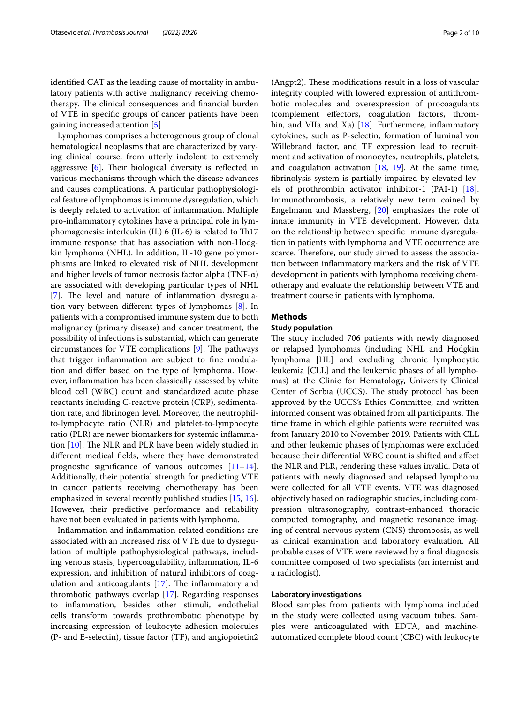identifed CAT as the leading cause of mortality in ambulatory patients with active malignancy receiving chemotherapy. The clinical consequences and financial burden of VTE in specifc groups of cancer patients have been gaining increased attention [\[5\]](#page-8-4).

Lymphomas comprises a heterogenous group of clonal hematological neoplasms that are characterized by varying clinical course, from utterly indolent to extremely aggressive  $[6]$  $[6]$ . Their biological diversity is reflected in various mechanisms through which the disease advances and causes complications. A particular pathophysiological feature of lymphomas is immune dysregulation, which is deeply related to activation of infammation. Multiple pro-infammatory cytokines have a principal role in lymphomagenesis: interleukin (IL)  $6$  (IL- $6$ ) is related to Th17 immune response that has association with non-Hodgkin lymphoma (NHL). In addition, IL-10 gene polymorphisms are linked to elevated risk of NHL development and higher levels of tumor necrosis factor alpha (TNF-α) are associated with developing particular types of NHL [[7\]](#page-8-6). The level and nature of inflammation dysregulation vary between diferent types of lymphomas [[8\]](#page-8-7). In patients with a compromised immune system due to both malignancy (primary disease) and cancer treatment, the possibility of infections is substantial, which can generate circumstances for VTE complications  $[9]$  $[9]$ . The pathways that trigger infammation are subject to fne modulation and difer based on the type of lymphoma. However, infammation has been classically assessed by white blood cell (WBC) count and standardized acute phase reactants including C-reactive protein (CRP), sedimentation rate, and fbrinogen level. Moreover, the neutrophilto-lymphocyte ratio (NLR) and platelet-to-lymphocyte ratio (PLR) are newer biomarkers for systemic infammation  $[10]$  $[10]$ . The NLR and PLR have been widely studied in diferent medical felds, where they have demonstrated prognostic signifcance of various outcomes [[11](#page-8-10)[–14](#page-8-11)]. Additionally, their potential strength for predicting VTE in cancer patients receiving chemotherapy has been emphasized in several recently published studies [[15,](#page-8-12) [16](#page-8-13)]. However, their predictive performance and reliability have not been evaluated in patients with lymphoma.

Infammation and infammation-related conditions are associated with an increased risk of VTE due to dysregulation of multiple pathophysiological pathways, including venous stasis, hypercoagulability, infammation, IL-6 expression, and inhibition of natural inhibitors of coagulation and anticoagulants  $[17]$ . The inflammatory and thrombotic pathways overlap [[17\]](#page-8-14). Regarding responses to infammation, besides other stimuli, endothelial cells transform towards prothrombotic phenotype by increasing expression of leukocyte adhesion molecules (P- and E-selectin), tissue factor (TF), and angiopoietin2 (Angpt2). These modifications result in a loss of vascular integrity coupled with lowered expression of antithrombotic molecules and overexpression of procoagulants (complement efectors, coagulation factors, thrombin, and VIIa and Xa)  $[18]$  $[18]$ . Furthermore, inflammatory cytokines, such as P-selectin, formation of luminal von Willebrand factor, and TF expression lead to recruitment and activation of monocytes, neutrophils, platelets, and coagulation activation [\[18](#page-8-15), [19\]](#page-8-16). At the same time, fbrinolysis system is partially impaired by elevated levels of prothrombin activator inhibitor-1 (PAI-1) [\[18](#page-8-15)]. Immunothrombosis, a relatively new term coined by Engelmann and Massberg, [\[20](#page-8-17)] emphasizes the role of innate immunity in VTE development. However, data on the relationship between specifc immune dysregulation in patients with lymphoma and VTE occurrence are scarce. Therefore, our study aimed to assess the association between infammatory markers and the risk of VTE development in patients with lymphoma receiving chemotherapy and evaluate the relationship between VTE and treatment course in patients with lymphoma.

## **Methods**

# **Study population**

The study included 706 patients with newly diagnosed or relapsed lymphomas (including NHL and Hodgkin lymphoma [HL] and excluding chronic lymphocytic leukemia [CLL] and the leukemic phases of all lymphomas) at the Clinic for Hematology, University Clinical Center of Serbia (UCCS). The study protocol has been approved by the UCCS's Ethics Committee, and written informed consent was obtained from all participants. The time frame in which eligible patients were recruited was from January 2010 to November 2019. Patients with CLL and other leukemic phases of lymphomas were excluded because their diferential WBC count is shifted and afect the NLR and PLR, rendering these values invalid. Data of patients with newly diagnosed and relapsed lymphoma were collected for all VTE events. VTE was diagnosed objectively based on radiographic studies, including compression ultrasonography, contrast-enhanced thoracic computed tomography, and magnetic resonance imaging of central nervous system (CNS) thrombosis, as well as clinical examination and laboratory evaluation. All probable cases of VTE were reviewed by a fnal diagnosis committee composed of two specialists (an internist and a radiologist).

### **Laboratory investigations**

Blood samples from patients with lymphoma included in the study were collected using vacuum tubes. Samples were anticoagulated with EDTA, and machineautomatized complete blood count (CBC) with leukocyte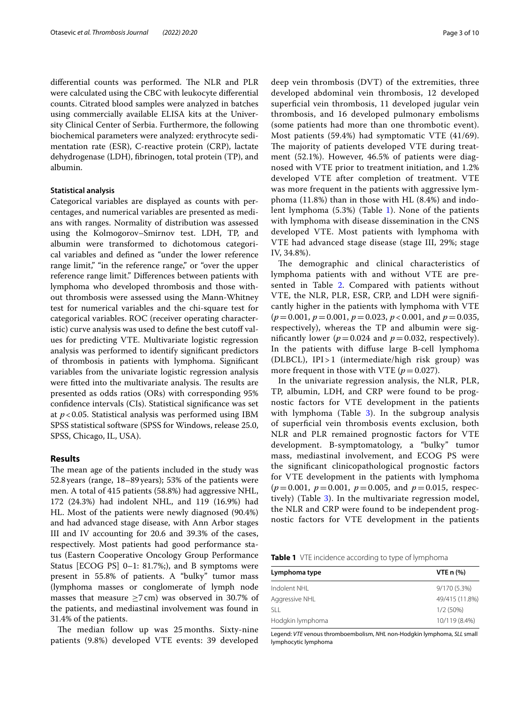differential counts was performed. The NLR and PLR were calculated using the CBC with leukocyte diferential counts. Citrated blood samples were analyzed in batches using commercially available ELISA kits at the University Clinical Center of Serbia. Furthermore, the following biochemical parameters were analyzed: erythrocyte sedimentation rate (ESR), C-reactive protein (CRP), lactate dehydrogenase (LDH), fbrinogen, total protein (TP), and albumin.

#### **Statistical analysis**

Categorical variables are displayed as counts with percentages, and numerical variables are presented as medians with ranges. Normality of distribution was assessed using the Kolmogorov–Smirnov test. LDH, TP, and albumin were transformed to dichotomous categorical variables and defned as "under the lower reference range limit," "in the reference range," or "over the upper reference range limit." Diferences between patients with lymphoma who developed thrombosis and those without thrombosis were assessed using the Mann-Whitney test for numerical variables and the chi-square test for categorical variables. ROC (receiver operating characteristic) curve analysis was used to define the best cutoff values for predicting VTE. Multivariate logistic regression analysis was performed to identify signifcant predictors of thrombosis in patients with lymphoma. Signifcant variables from the univariate logistic regression analysis were fitted into the multivariate analysis. The results are presented as odds ratios (ORs) with corresponding 95% confdence intervals (CIs). Statistical signifcance was set at *p*<0.05. Statistical analysis was performed using IBM SPSS statistical software (SPSS for Windows, release 25.0, SPSS, Chicago, IL, USA).

## **Results**

The mean age of the patients included in the study was 52.8years (range, 18–89 years); 53% of the patients were men. A total of 415 patients (58.8%) had aggressive NHL, 172 (24.3%) had indolent NHL, and 119 (16.9%) had HL. Most of the patients were newly diagnosed (90.4%) and had advanced stage disease, with Ann Arbor stages III and IV accounting for 20.6 and 39.3% of the cases, respectively. Most patients had good performance status (Eastern Cooperative Oncology Group Performance Status [ECOG PS] 0–1: 81.7%;), and B symptoms were present in 55.8% of patients. A "bulky" tumor mass (lymphoma masses or conglomerate of lymph node masses that measure  $>7$  cm) was observed in 30.7% of the patients, and mediastinal involvement was found in 31.4% of the patients.

The median follow up was 25 months. Sixty-nine patients (9.8%) developed VTE events: 39 developed deep vein thrombosis (DVT) of the extremities, three developed abdominal vein thrombosis, 12 developed superfcial vein thrombosis, 11 developed jugular vein thrombosis, and 16 developed pulmonary embolisms (some patients had more than one thrombotic event). Most patients (59.4%) had symptomatic VTE (41/69). The majority of patients developed VTE during treatment (52.1%). However, 46.5% of patients were diagnosed with VTE prior to treatment initiation, and 1.2% developed VTE after completion of treatment. VTE was more frequent in the patients with aggressive lymphoma (11.8%) than in those with HL (8.4%) and indolent lymphoma (5.3%) (Table [1\)](#page-2-0). None of the patients with lymphoma with disease dissemination in the CNS developed VTE. Most patients with lymphoma with VTE had advanced stage disease (stage III, 29%; stage IV, 34.8%).

The demographic and clinical characteristics of lymphoma patients with and without VTE are pre-sented in Table [2.](#page-3-0) Compared with patients without VTE, the NLR, PLR, ESR, CRP, and LDH were signifcantly higher in the patients with lymphoma with VTE (*p*=0.001, *p*=0.001, *p*=0.023, *p* < 0.001, and *p*=0.035, respectively), whereas the TP and albumin were significantly lower ( $p = 0.024$  and  $p = 0.032$ , respectively). In the patients with difuse large B-cell lymphoma (DLBCL),  $IPI > 1$  (intermediate/high risk group) was more frequent in those with VTE  $(p=0.027)$ .

In the univariate regression analysis, the NLR, PLR, TP, albumin, LDH, and CRP were found to be prognostic factors for VTE development in the patients with lymphoma (Table  $3$ ). In the subgroup analysis of superfcial vein thrombosis events exclusion, both NLR and PLR remained prognostic factors for VTE development. B-symptomatology, a "bulky" tumor mass, mediastinal involvement, and ECOG PS were the signifcant clinicopathological prognostic factors for VTE development in the patients with lymphoma (*p*=0.001, *p*=0.001, *p*=0.005, and *p*=0.015, respectively) (Table [3](#page-3-1)). In the multivariate regression model, the NLR and CRP were found to be independent prognostic factors for VTE development in the patients

<span id="page-2-0"></span>**Table 1** VTE incidence according to type of lymphoma

| Lymphoma type    | VTE $n$ $%$    |
|------------------|----------------|
| Indolent NHI     | 9/170 (5.3%)   |
| Aggressive NHL   | 49/415 (11.8%) |
| SLL.             | $1/2(50\%)$    |
| Hodgkin lymphoma | 10/119 (8.4%)  |

Legend: *VTE* venous thromboembolism, *NHL* non-Hodgkin lymphoma, *SLL* small lymphocytic lymphoma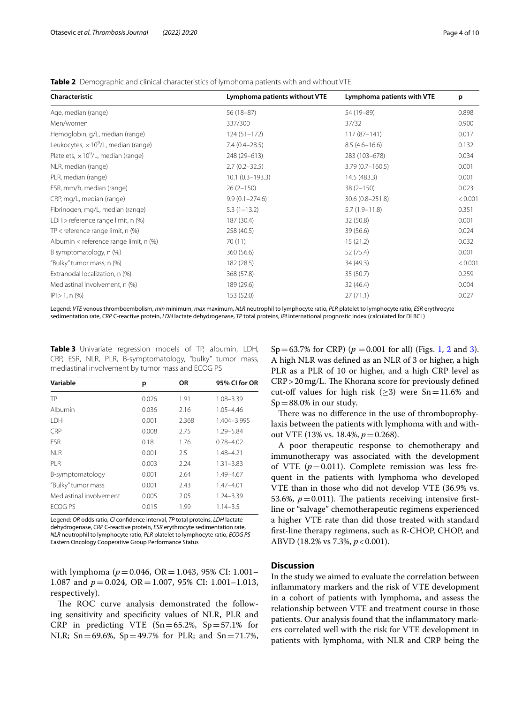| Characteristic                               | Lymphoma patients without VTE | Lymphoma patients with VTE | p       |  |
|----------------------------------------------|-------------------------------|----------------------------|---------|--|
| Age, median (range)                          | $56(18-87)$                   | 54 (19-89)                 | 0.898   |  |
| Men/women                                    | 337/300                       | 37/32                      | 0.900   |  |
| Hemoglobin, g/L, median (range)              | $124(51 - 172)$               | $117(87 - 141)$            | 0.017   |  |
| Leukocytes, $\times 10^9$ /L, median (range) | $7.4(0.4-28.5)$               | $8.5(4.6 - 16.6)$          | 0.132   |  |
| Platelets, $\times 10^9$ /L, median (range)  | 248 (29-613)                  | 283 (103-678)              | 0.034   |  |
| NLR, median (range)                          | $2.7(0.2 - 32.5)$             | $3.79(0.7 - 160.5)$        | 0.001   |  |
| PLR, median (range)                          | $10.1(0.3 - 193.3)$           | 14.5 (483.3)               | 0.001   |  |
| ESR, mm/h, median (range)                    | $26(2-150)$                   | $38(2 - 150)$              | 0.023   |  |
| CRP, mg/L, median (range)                    | $9.9(0.1 - 274.6)$            | 30.6 (0.8-251.8)           | < 0.001 |  |
| Fibrinogen, mg/L, median (range)             | $5.3(1-13.2)$                 | $5.7(1.9 - 11.8)$          | 0.351   |  |
| LDH > reference range limit, n (%)           | 187 (30.4)                    | 32 (50.8)                  | 0.001   |  |
| $TP$ < reference range limit, n $(\%)$       | 258 (40.5)                    | 39 (56.6)                  | 0.024   |  |
| Albumin < reference range limit, n (%)       | 70(11)                        | 15(21.2)                   | 0.032   |  |
| B symptomatology, n (%)                      | 360 (56.6)                    | 52 (75.4)                  | 0.001   |  |
| "Bulky" tumor mass, n (%)                    | 182 (28.5)                    | 34 (49.3)                  | < 0.001 |  |
| Extranodal localization, n (%)               | 368 (57.8)                    | 35(50.7)                   |         |  |
| Mediastinal involvement, n (%)               | 189 (29.6)                    | 32(46.4)                   |         |  |
| $ P  > 1, n$ (%)                             | 153 (52.0)                    | 27(71.1)                   | 0.027   |  |

<span id="page-3-0"></span>**Table 2** Demographic and clinical characteristics of lymphoma patients with and without VTE

Legend: *VTE* venous thromboembolism, *min* minimum, *max* maximum, *NLR* neutrophil to lymphocyte ratio, *PLR* platelet to lymphocyte ratio, *ESR* erythrocyte sedimentation rate, *CRP* C-reactive protein, *LDH* lactate dehydrogenase, *TP* total proteins, *IPI* international prognostic index (calculated for DLBCL)

<span id="page-3-1"></span>**Table 3** Univariate regression models of TP, albumin, LDH, CRP, ESR, NLR, PLR, B-symptomatology, "bulky" tumor mass, mediastinal involvement by tumor mass and ECOG PS

| Variable                | р     | <b>OR</b> | 95% CI for OR |
|-------------------------|-------|-----------|---------------|
| TP                      | 0.026 | 1.91      | $1.08 - 3.39$ |
| Albumin                 | 0.036 | 2.16      | $1.05 - 4.46$ |
| <b>IDH</b>              | 0.001 | 2.368     | 1.404-3.995   |
| <b>CRP</b>              | 0.008 | 2.75      | 1.29-5.84     |
| <b>FSR</b>              | 0.18  | 1.76      | $0.78 - 4.02$ |
| NI R                    | 0.001 | 2.5       | 1.48-4.21     |
| PI R                    | 0.003 | 2.24      | $1.31 - 3.83$ |
| B-symptomatology        | 0.001 | 2.64      | 1.49-4.67     |
| "Bulky" tumor mass      | 0.001 | 2.43      | $1.47 - 4.01$ |
| Mediastinal involvement | 0.005 | 2.05      | $1.24 - 3.39$ |
| <b>ECOG PS</b>          | 0.015 | 1.99      | $1.14 - 3.5$  |

Legend: *OR* odds ratio, *CI* confdence interval, *TP* total proteins, *LDH* lactate dehydrogenase, *CRP* C-reactive protein, *ESR* erythrocyte sedimentation rate, *NLR* neutrophil to lymphocyte ratio, *PLR* platelet to lymphocyte ratio, *ECOG PS* Eastern Oncology Cooperative Group Performance Status

with lymphoma ( $p = 0.046$ , OR = 1.043, 95% CI: 1.001– 1.087 and *p*=0.024, OR=1.007, 95% CI: 1.001–1.013, respectively).

The ROC curve analysis demonstrated the following sensitivity and specifcity values of NLR, PLR and CRP in predicting VTE  $(Sn=65.2\% , Sp=57.1\%$  for NLR; Sn=69.6%, Sp=49.7% for PLR; and Sn=71.7%, Sp=6[3](#page-6-0).7% for CRP)  $(p = 0.001$  for all) (Figs. [1,](#page-4-0) [2](#page-5-0) and 3). A high NLR was defned as an NLR of 3 or higher, a high PLR as a PLR of 10 or higher, and a high CRP level as  $CRP > 20$  mg/L. The Khorana score for previously defined cut-off values for high risk  $(\geq 3)$  were Sn=11.6% and  $Sp = 88.0\%$  in our study.

There was no difference in the use of thromboprophylaxis between the patients with lymphoma with and without VTE (13% vs. 18.4%, *p*=0.268).

A poor therapeutic response to chemotherapy and immunotherapy was associated with the development of VTE  $(p=0.011)$ . Complete remission was less frequent in the patients with lymphoma who developed VTE than in those who did not develop VTE (36.9% vs. 53.6%,  $p = 0.011$ ). The patients receiving intensive firstline or "salvage" chemotherapeutic regimens experienced a higher VTE rate than did those treated with standard frst-line therapy regimens, such as R-CHOP, CHOP, and ABVD (18.2% vs 7.3%,  $p < 0.001$ ).

## **Discussion**

In the study we aimed to evaluate the correlation between infammatory markers and the risk of VTE development in a cohort of patients with lymphoma, and assess the relationship between VTE and treatment course in those patients. Our analysis found that the infammatory markers correlated well with the risk for VTE development in patients with lymphoma, with NLR and CRP being the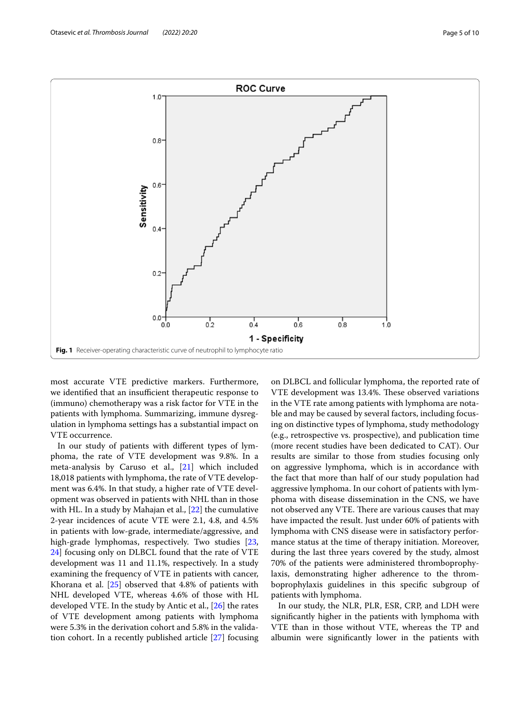

<span id="page-4-0"></span>most accurate VTE predictive markers. Furthermore, we identified that an insufficient therapeutic response to (immuno) chemotherapy was a risk factor for VTE in the patients with lymphoma. Summarizing, immune dysregulation in lymphoma settings has a substantial impact on VTE occurrence.

In our study of patients with diferent types of lymphoma, the rate of VTE development was 9.8%. In a meta-analysis by Caruso et al., [[21\]](#page-8-18) which included 18,018 patients with lymphoma, the rate of VTE development was 6.4%. In that study, a higher rate of VTE development was observed in patients with NHL than in those with HL. In a study by Mahajan et al., [[22\]](#page-8-19) the cumulative 2-year incidences of acute VTE were 2.1, 4.8, and 4.5% in patients with low-grade, intermediate/aggressive, and high-grade lymphomas, respectively. Two studies [\[23](#page-8-20), [24\]](#page-8-21) focusing only on DLBCL found that the rate of VTE development was 11 and 11.1%, respectively. In a study examining the frequency of VTE in patients with cancer, Khorana et al. [[25](#page-8-22)] observed that 4.8% of patients with NHL developed VTE, whereas 4.6% of those with HL developed VTE. In the study by Antic et al., [\[26\]](#page-8-23) the rates of VTE development among patients with lymphoma were 5.3% in the derivation cohort and 5.8% in the validation cohort. In a recently published article [[27\]](#page-8-24) focusing on DLBCL and follicular lymphoma, the reported rate of VTE development was 13.4%. These observed variations in the VTE rate among patients with lymphoma are notable and may be caused by several factors, including focusing on distinctive types of lymphoma, study methodology (e.g., retrospective vs. prospective), and publication time (more recent studies have been dedicated to CAT). Our results are similar to those from studies focusing only on aggressive lymphoma, which is in accordance with the fact that more than half of our study population had aggressive lymphoma. In our cohort of patients with lymphoma with disease dissemination in the CNS, we have not observed any VTE. There are various causes that may have impacted the result. Just under 60% of patients with lymphoma with CNS disease were in satisfactory performance status at the time of therapy initiation. Moreover, during the last three years covered by the study, almost 70% of the patients were administered thromboprophylaxis, demonstrating higher adherence to the thromboprophylaxis guidelines in this specifc subgroup of patients with lymphoma.

In our study, the NLR, PLR, ESR, CRP, and LDH were signifcantly higher in the patients with lymphoma with VTE than in those without VTE, whereas the TP and albumin were signifcantly lower in the patients with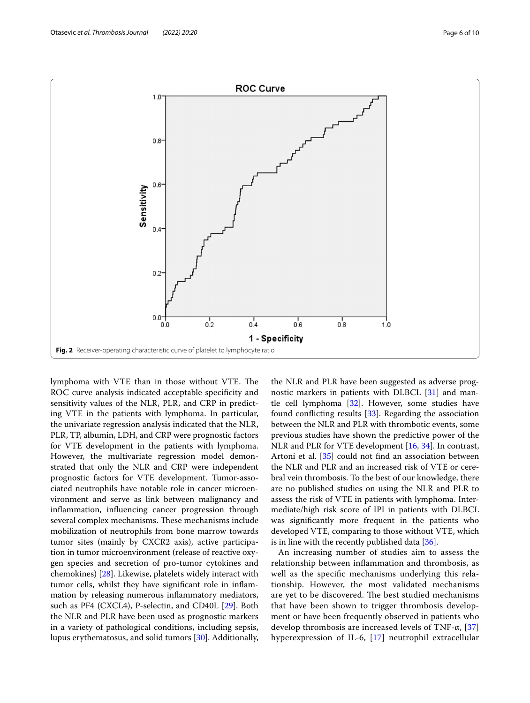

<span id="page-5-0"></span>lymphoma with VTE than in those without VTE. The ROC curve analysis indicated acceptable specifcity and sensitivity values of the NLR, PLR, and CRP in predicting VTE in the patients with lymphoma. In particular, the univariate regression analysis indicated that the NLR, PLR, TP, albumin, LDH, and CRP were prognostic factors for VTE development in the patients with lymphoma. However, the multivariate regression model demonstrated that only the NLR and CRP were independent prognostic factors for VTE development. Tumor-associated neutrophils have notable role in cancer microenvironment and serve as link between malignancy and infammation, infuencing cancer progression through several complex mechanisms. These mechanisms include mobilization of neutrophils from bone marrow towards tumor sites (mainly by CXCR2 axis), active participation in tumor microenvironment (release of reactive oxygen species and secretion of pro-tumor cytokines and chemokines) [[28](#page-8-25)]. Likewise, platelets widely interact with tumor cells, whilst they have signifcant role in infammation by releasing numerous infammatory mediators, such as PF4 (CXCL4), P-selectin, and CD40L [\[29](#page-8-26)]. Both the NLR and PLR have been used as prognostic markers in a variety of pathological conditions, including sepsis, lupus erythematosus, and solid tumors [[30](#page-8-27)]. Additionally, the NLR and PLR have been suggested as adverse prognostic markers in patients with DLBCL [[31](#page-8-28)] and mantle cell lymphoma  $[32]$  $[32]$ . However, some studies have found conficting results [[33\]](#page-8-30). Regarding the association between the NLR and PLR with thrombotic events, some previous studies have shown the predictive power of the NLR and PLR for VTE development [[16,](#page-8-13) [34](#page-9-0)]. In contrast, Artoni et al. [\[35](#page-9-1)] could not fnd an association between the NLR and PLR and an increased risk of VTE or cerebral vein thrombosis. To the best of our knowledge, there are no published studies on using the NLR and PLR to assess the risk of VTE in patients with lymphoma. Intermediate/high risk score of IPI in patients with DLBCL was signifcantly more frequent in the patients who developed VTE, comparing to those without VTE, which is in line with the recently published data [\[36](#page-9-2)].

An increasing number of studies aim to assess the relationship between infammation and thrombosis, as well as the specifc mechanisms underlying this relationship. However, the most validated mechanisms are yet to be discovered. The best studied mechanisms that have been shown to trigger thrombosis development or have been frequently observed in patients who develop thrombosis are increased levels of TNF- $\alpha$ , [\[37](#page-9-3)] hyperexpression of IL-6, [\[17](#page-8-14)] neutrophil extracellular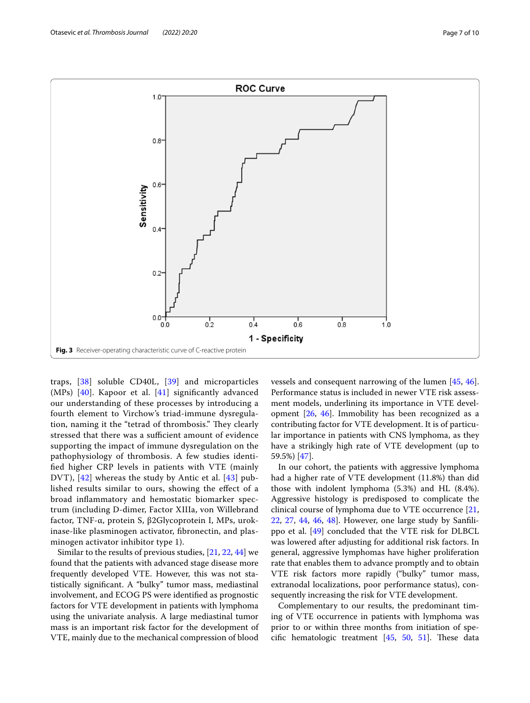

<span id="page-6-0"></span>traps, [[38](#page-9-4)] soluble CD40L, [\[39](#page-9-5)] and microparticles (MPs)  $[40]$  $[40]$ . Kapoor et al.  $[41]$  $[41]$  significantly advanced our understanding of these processes by introducing a fourth element to Virchow's triad-immune dysregulation, naming it the "tetrad of thrombosis." They clearly stressed that there was a sufficient amount of evidence supporting the impact of immune dysregulation on the pathophysiology of thrombosis. A few studies identifed higher CRP levels in patients with VTE (mainly DVT), [\[42\]](#page-9-8) whereas the study by Antic et al. [\[43](#page-9-9)] published results similar to ours, showing the efect of a broad infammatory and hemostatic biomarker spectrum (including D-dimer, Factor XIIIa, von Willebrand factor, TNF-α, protein S, β2Glycoprotein I, MPs, urokinase-like plasminogen activator, fbronectin, and plasminogen activator inhibitor type 1).

Similar to the results of previous studies, [\[21](#page-8-18), [22](#page-8-19), [44\]](#page-9-10) we found that the patients with advanced stage disease more frequently developed VTE. However, this was not statistically signifcant. A "bulky" tumor mass, mediastinal involvement, and ECOG PS were identifed as prognostic factors for VTE development in patients with lymphoma using the univariate analysis. A large mediastinal tumor mass is an important risk factor for the development of VTE, mainly due to the mechanical compression of blood vessels and consequent narrowing of the lumen [\[45](#page-9-11), [46](#page-9-12)]. Performance status is included in newer VTE risk assessment models, underlining its importance in VTE development [[26,](#page-8-23) [46](#page-9-12)]. Immobility has been recognized as a contributing factor for VTE development. It is of particular importance in patients with CNS lymphoma, as they have a strikingly high rate of VTE development (up to 59.5%) [\[47](#page-9-13)].

In our cohort, the patients with aggressive lymphoma had a higher rate of VTE development (11.8%) than did those with indolent lymphoma (5.3%) and HL (8.4%). Aggressive histology is predisposed to complicate the clinical course of lymphoma due to VTE occurrence [[21](#page-8-18), [22,](#page-8-19) [27](#page-8-24), [44,](#page-9-10) [46,](#page-9-12) [48](#page-9-14)]. However, one large study by Sanflippo et al. [\[49](#page-9-15)] concluded that the VTE risk for DLBCL was lowered after adjusting for additional risk factors. In general, aggressive lymphomas have higher proliferation rate that enables them to advance promptly and to obtain VTE risk factors more rapidly ("bulky" tumor mass, extranodal localizations, poor performance status), consequently increasing the risk for VTE development.

Complementary to our results, the predominant timing of VTE occurrence in patients with lymphoma was prior to or within three months from initiation of specific hematologic treatment  $[45, 50, 51]$  $[45, 50, 51]$  $[45, 50, 51]$  $[45, 50, 51]$  $[45, 50, 51]$  $[45, 50, 51]$ . These data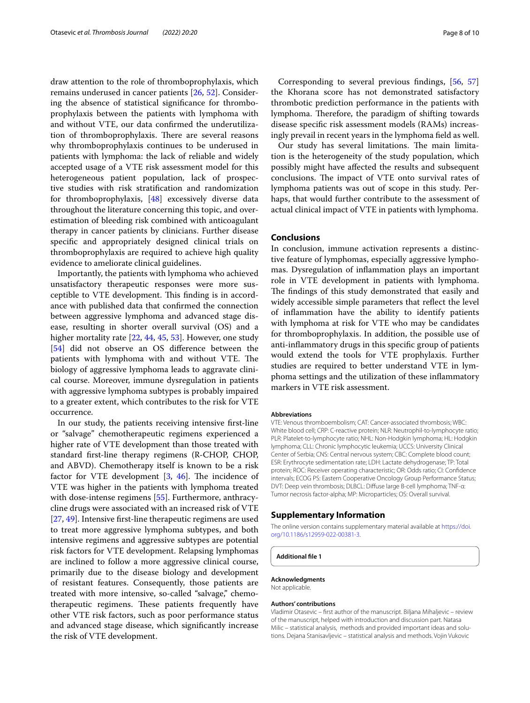draw attention to the role of thromboprophylaxis, which remains underused in cancer patients [\[26](#page-8-23), [52\]](#page-9-18). Considering the absence of statistical signifcance for thromboprophylaxis between the patients with lymphoma with and without VTE, our data confrmed the underutilization of thromboprophylaxis. There are several reasons why thromboprophylaxis continues to be underused in patients with lymphoma: the lack of reliable and widely accepted usage of a VTE risk assessment model for this heterogeneous patient population, lack of prospective studies with risk stratifcation and randomization for thromboprophylaxis, [[48](#page-9-14)] excessively diverse data throughout the literature concerning this topic, and overestimation of bleeding risk combined with anticoagulant therapy in cancer patients by clinicians. Further disease specifc and appropriately designed clinical trials on thromboprophylaxis are required to achieve high quality evidence to ameliorate clinical guidelines.

Importantly, the patients with lymphoma who achieved unsatisfactory therapeutic responses were more susceptible to VTE development. This finding is in accordance with published data that confrmed the connection between aggressive lymphoma and advanced stage disease, resulting in shorter overall survival (OS) and a higher mortality rate [[22,](#page-8-19) [44](#page-9-10), [45](#page-9-11), [53\]](#page-9-19). However, one study [[54\]](#page-9-20) did not observe an OS difference between the patients with lymphoma with and without VTE. The biology of aggressive lymphoma leads to aggravate clinical course. Moreover, immune dysregulation in patients with aggressive lymphoma subtypes is probably impaired to a greater extent, which contributes to the risk for VTE occurrence.

In our study, the patients receiving intensive frst-line or "salvage" chemotherapeutic regimens experienced a higher rate of VTE development than those treated with standard frst-line therapy regimens (R-CHOP, CHOP, and ABVD). Chemotherapy itself is known to be a risk factor for VTE development  $[3, 46]$  $[3, 46]$  $[3, 46]$  $[3, 46]$  $[3, 46]$ . The incidence of VTE was higher in the patients with lymphoma treated with dose-intense regimens [[55](#page-9-21)]. Furthermore, anthracycline drugs were associated with an increased risk of VTE [[27,](#page-8-24) [49](#page-9-15)]. Intensive frst-line therapeutic regimens are used to treat more aggressive lymphoma subtypes, and both intensive regimens and aggressive subtypes are potential risk factors for VTE development. Relapsing lymphomas are inclined to follow a more aggressive clinical course, primarily due to the disease biology and development of resistant features. Consequently, those patients are treated with more intensive, so-called "salvage," chemotherapeutic regimens. These patients frequently have other VTE risk factors, such as poor performance status and advanced stage disease, which signifcantly increase the risk of VTE development.

Corresponding to several previous fndings, [[56,](#page-9-22) [57](#page-9-23)] the Khorana score has not demonstrated satisfactory thrombotic prediction performance in the patients with lymphoma. Therefore, the paradigm of shifting towards disease specifc risk assessment models (RAMs) increasingly prevail in recent years in the lymphoma feld as well.

Our study has several limitations. The main limitation is the heterogeneity of the study population, which possibly might have afected the results and subsequent conclusions. The impact of VTE onto survival rates of lymphoma patients was out of scope in this study. Perhaps, that would further contribute to the assessment of actual clinical impact of VTE in patients with lymphoma.

# **Conclusions**

In conclusion, immune activation represents a distinctive feature of lymphomas, especially aggressive lymphomas. Dysregulation of infammation plays an important role in VTE development in patients with lymphoma. The findings of this study demonstrated that easily and widely accessible simple parameters that reflect the level of infammation have the ability to identify patients with lymphoma at risk for VTE who may be candidates for thromboprophylaxis. In addition, the possible use of anti-infammatory drugs in this specifc group of patients would extend the tools for VTE prophylaxis. Further studies are required to better understand VTE in lymphoma settings and the utilization of these infammatory markers in VTE risk assessment.

#### **Abbreviations**

VTE: Venous thromboembolism; CAT: Cancer-associated thrombosis; WBC: White blood cell; CRP: C-reactive protein; NLR: Neutrophil-to-lymphocyte ratio; PLR: Platelet-to-lymphocyte ratio; NHL: Non-Hodgkin lymphoma; HL: Hodgkin lymphoma; CLL: Chronic lymphocytic leukemia; UCCS: University Clinical Center of Serbia; CNS: Central nervous system; CBC: Complete blood count; ESR: Erythrocyte sedimentation rate; LDH: Lactate dehydrogenase; TP: Total protein; ROC: Receiver operating characteristic; OR: Odds ratio; CI: Confdence intervals; ECOG PS: Eastern Cooperative Oncology Group Performance Status; DVT: Deep vein thrombosis; DLBCL: Difuse large B-cell lymphoma; TNF-α: Tumor necrosis factor-alpha; MP: Microparticles; OS: Overall survival.

#### **Supplementary Information**

The online version contains supplementary material available at [https://doi.](https://doi.org/10.1186/s12959-022-00381-3) [org/10.1186/s12959-022-00381-3](https://doi.org/10.1186/s12959-022-00381-3).

**Additional fle 1**

#### **Acknowledgments**

Not applicable.

#### **Authors' contributions**

Vladimir Otasevic – frst author of the manuscript. Biljana Mihaljevic – review of the manuscript, helped with introduction and discussion part. Natasa Milic – statistical analysis, methods and provided important ideas and solutions. Dejana Stanisavljevic – statistical analysis and methods. Vojin Vukovic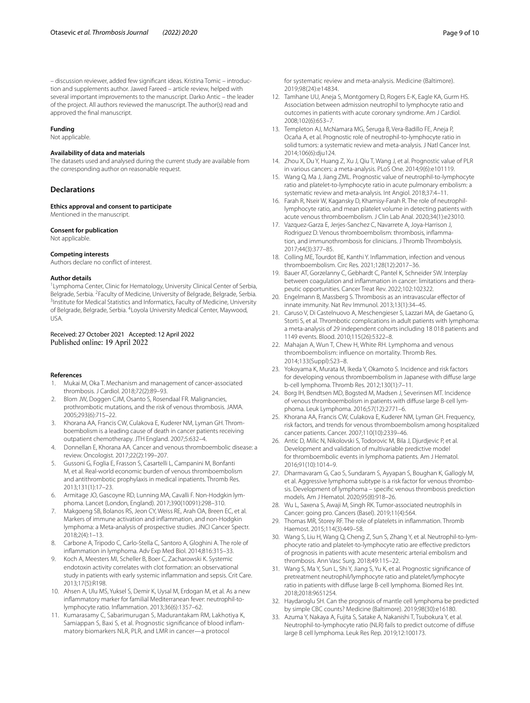– discussion reviewer, added few signifcant ideas. Kristina Tomic – introduction and supplements author. Jawed Fareed – article review, helped with several important improvements to the manuscript. Darko Antic – the leader of the project. All authors reviewed the manuscript. The author(s) read and approved the fnal manuscript.

#### **Funding**

Not applicable.

#### **Availability of data and materials**

The datasets used and analysed during the current study are available from the corresponding author on reasonable request.

#### **Declarations**

**Ethics approval and consent to participate** Mentioned in the manuscript.

#### **Consent for publication**

Not applicable.

#### **Competing interests**

Authors declare no confict of interest.

#### **Author details**

<sup>1</sup> Lymphoma Center, Clinic for Hematology, University Clinical Center of Serbia, Belgrade, Serbia. <sup>2</sup> Faculty of Medicine, University of Belgrade, Belgrade, Serbia.<br><sup>3</sup> Institute for Medical Statistics and Informatics. Eaculty of Medicine. University <sup>3</sup> Institute for Medical Statistics and Informatics, Faculty of Medicine, University of Belgrade, Belgrade, Serbia. <sup>4</sup> Loyola University Medical Center, Maywood, USA.

#### Received: 27 October 2021 Accepted: 12 April 2022 Published online: 19 April 2022

#### **References**

- <span id="page-8-0"></span>Mukai M, Oka T. Mechanism and management of cancer-associated thrombosis. J Cardiol. 2018;72(2):89–93.
- <span id="page-8-1"></span>2. Blom JW, Doggen CJM, Osanto S, Rosendaal FR. Malignancies, prothrombotic mutations, and the risk of venous thrombosis. JAMA. 2005;293(6):715–22.
- <span id="page-8-2"></span>3. Khorana AA, Francis CW, Culakova E, Kuderer NM, Lyman GH. Thromboembolism is a leading cause of death in cancer patients receiving outpatient chemotherapy. JTH England. 2007;5:632–4.
- <span id="page-8-3"></span>4. Donnellan E, Khorana AA. Cancer and venous thromboembolic disease: a review. Oncologist. 2017;22(2):199–207.
- <span id="page-8-4"></span>5. Gussoni G, Foglia E, Frasson S, Casartelli L, Campanini M, Bonfanti M, et al. Real-world economic burden of venous thromboembolism and antithrombotic prophylaxis in medical inpatients. Thromb Res. 2013;131(1):17–23.
- <span id="page-8-5"></span>6. Armitage JO, Gascoyne RD, Lunning MA, Cavalli F. Non-Hodgkin lymphoma. Lancet (London, England). 2017;390(10091):298–310.
- <span id="page-8-6"></span>7. Makgoeng SB, Bolanos RS, Jeon CY, Weiss RE, Arah OA, Breen EC, et al. Markers of immune activation and infammation, and non-Hodgkin lymphoma: a Meta-analysis of prospective studies. JNCI Cancer Spectr. 2018;2(4):1–13.
- <span id="page-8-7"></span>8. Carbone A, Tripodo C, Carlo-Stella C, Santoro A, Gloghini A. The role of infammation in lymphoma. Adv Exp Med Biol. 2014;816:315–33.
- <span id="page-8-8"></span>9. Koch A, Meesters MI, Scheller B, Boer C, Zacharowski K. Systemic endotoxin activity correlates with clot formation: an observational study in patients with early systemic infammation and sepsis. Crit Care. 2013;17(5):R198.
- <span id="page-8-9"></span>10. Ahsen A, Ulu MS, Yuksel S, Demir K, Uysal M, Erdogan M, et al. As a new infammatory marker for familial Mediterranean fever: neutrophil-tolymphocyte ratio. Infammation. 2013;36(6):1357–62.
- <span id="page-8-10"></span>11. Kumarasamy C, Sabarimurugan S, Madurantakam RM, Lakhotiya K, Samiappan S, Baxi S, et al. Prognostic signifcance of blood infammatory biomarkers NLR, PLR, and LMR in cancer—a protocol
- 12. Tamhane UU, Aneja S, Montgomery D, Rogers E-K, Eagle KA, Gurm HS. Association between admission neutrophil to lymphocyte ratio and outcomes in patients with acute coronary syndrome. Am J Cardiol. 2008;102(6):653–7.
- 13. Templeton AJ, McNamara MG, Šeruga B, Vera-Badillo FE, Aneja P, Ocaña A, et al. Prognostic role of neutrophil-to-lymphocyte ratio in solid tumors: a systematic review and meta-analysis. J Natl Cancer Inst. 2014;106(6):dju124.
- <span id="page-8-11"></span>14. Zhou X, Du Y, Huang Z, Xu J, Qiu T, Wang J, et al. Prognostic value of PLR in various cancers: a meta-analysis. PLoS One. 2014;9(6):e101119.
- <span id="page-8-12"></span>15. Wang Q, Ma J, Jiang ZML. Prognostic value of neutrophil-to-lymphocyte ratio and platelet-to-lymphocyte ratio in acute pulmonary embolism: a systematic review and meta-analysis. Int Angiol. 2018;37:4–11.
- <span id="page-8-13"></span>16. Farah R, Nseir W, Kagansky D, Khamisy-Farah R. The role of neutrophillymphocyte ratio, and mean platelet volume in detecting patients with acute venous thromboembolism. J Clin Lab Anal. 2020;34(1):e23010.
- <span id="page-8-14"></span>17. Vazquez-Garza E, Jerjes-Sanchez C, Navarrete A, Joya-Harrison J, Rodriguez D. Venous thromboembolism: thrombosis, infammation, and immunothrombosis for clinicians. J Thromb Thrombolysis. 2017;44(3):377–85.
- <span id="page-8-15"></span>18. Colling ME, Tourdot BE, Kanthi Y. Infammation, infection and venous thromboembolism. Circ Res. 2021;128(12):2017–36.
- <span id="page-8-16"></span>19. Bauer AT, Gorzelanny C, Gebhardt C, Pantel K, Schneider SW. Interplay between coagulation and infammation in cancer: limitations and therapeutic opportunities. Cancer Treat Rev. 2022;102:102322.
- <span id="page-8-17"></span>20. Engelmann B, Massberg S. Thrombosis as an intravascular efector of innate immunity. Nat Rev Immunol. 2013;13(1):34–45.
- <span id="page-8-18"></span>21. Caruso V, Di Castelnuovo A, Meschengieser S, Lazzari MA, de Gaetano G, Storti S, et al. Thrombotic complications in adult patients with lymphoma: a meta-analysis of 29 independent cohorts including 18 018 patients and 1149 events. Blood. 2010;115(26):5322–8.
- <span id="page-8-19"></span>22. Mahajan A, Wun T, Chew H, White RH. Lymphoma and venous thromboembolism: infuence on mortality. Thromb Res. 2014;133(Suppl):S23–8.
- <span id="page-8-20"></span>23. Yokoyama K, Murata M, Ikeda Y, Okamoto S. Incidence and risk factors for developing venous thromboembolism in Japanese with difuse large b-cell lymphoma. Thromb Res. 2012;130(1):7–11.
- <span id="page-8-21"></span>24. Borg IH, Bendtsen MD, Bogsted M, Madsen J, Severinsen MT. Incidence of venous thromboembolism in patients with difuse large B-cell lymphoma. Leuk Lymphoma. 2016;57(12):2771–6.
- <span id="page-8-22"></span>25. Khorana AA, Francis CW, Culakova E, Kuderer NM, Lyman GH. Frequency, risk factors, and trends for venous thromboembolism among hospitalized cancer patients. Cancer. 2007;110(10):2339–46.
- <span id="page-8-23"></span>26. Antic D, Milic N, Nikolovski S, Todorovic M, Bila J, Djurdjevic P, et al. Development and validation of multivariable predictive model for thromboembolic events in lymphoma patients. Am J Hematol. 2016;91(10):1014–9.
- <span id="page-8-24"></span>27. Dharmavaram G, Cao S, Sundaram S, Ayyapan S, Boughan K, Gallogly M, et al. Aggressive lymphoma subtype is a risk factor for venous thrombosis. Development of lymphoma – specifc venous thrombosis prediction models. Am J Hematol. 2020;95(8):918–26.
- <span id="page-8-25"></span>28. Wu L, Saxena S, Awaji M, Singh RK. Tumor-associated neutrophils in Cancer: going pro. Cancers (Basel). 2019;11(4):564.
- <span id="page-8-26"></span>29. Thomas MR, Storey RF. The role of platelets in infammation. Thromb Haemost. 2015;114(3):449–58.
- <span id="page-8-27"></span>30. Wang S, Liu H, Wang Q, Cheng Z, Sun S, Zhang Y, et al. Neutrophil-to-lymphocyte ratio and platelet-to-lymphocyte ratio are efective predictors of prognosis in patients with acute mesenteric arterial embolism and thrombosis. Ann Vasc Surg. 2018;49:115–22.
- <span id="page-8-28"></span>31. Wang S, Ma Y, Sun L, Shi Y, Jiang S, Yu K, et al. Prognostic signifcance of pretreatment neutrophil/lymphocyte ratio and platelet/lymphocyte ratio in patients with difuse large B-cell lymphoma. Biomed Res Int. 2018;2018:9651254.
- <span id="page-8-29"></span>32. Haydaroglu SH. Can the prognosis of mantle cell lymphoma be predicted by simple CBC counts? Medicine (Baltimore). 2019;98(30):e16180.
- <span id="page-8-30"></span>33. Azuma Y, Nakaya A, Fujita S, Satake A, Nakanishi T, Tsubokura Y, et al. Neutrophil-to-lymphocyte ratio (NLR) fails to predict outcome of difuse large B cell lymphoma. Leuk Res Rep. 2019;12:100173.